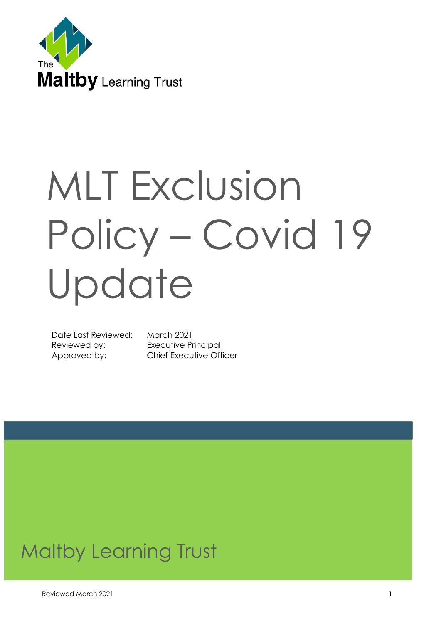

# MLT Exclusion Policy – Covid 19 Update

Date Last Reviewed: March 2021 Reviewed by: Executive Principal

Approved by: Chief Executive Officer

# Maltby Learning Trust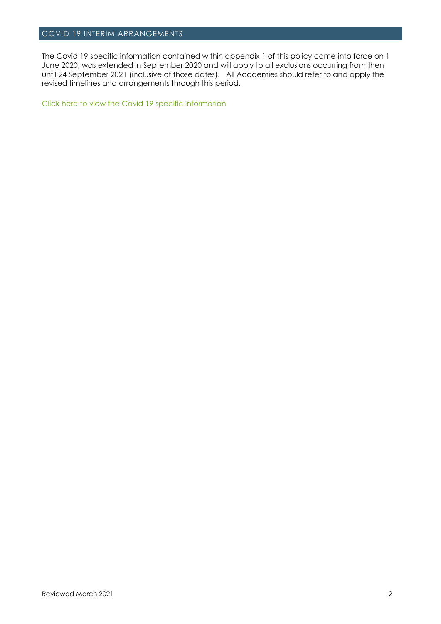#### COVID 19 INTERIM ARRANGEMENTS

The Covid 19 specific information contained within appendix 1 of this policy came into force on 1 June 2020, was extended in September 2020 and will apply to all exclusions occurring from then until 24 September 2021 (inclusive of those dates). All Academies should refer to and apply the revised timelines and arrangements through this period.

[Click here to view the Covid 19 specific information](#page-16-0)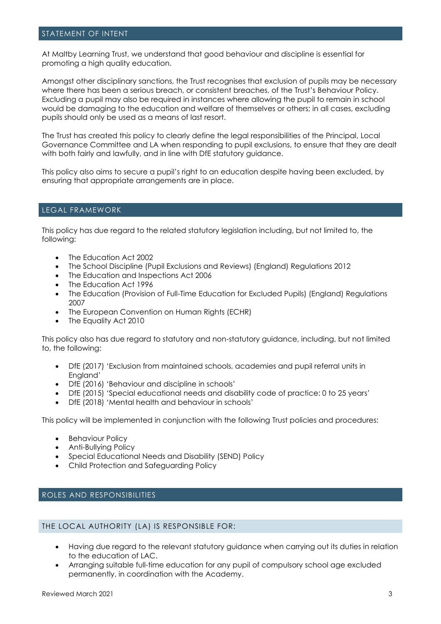#### STATEMENT OF INTENT

At Maltby Learning Trust, we understand that good behaviour and discipline is essential for promoting a high quality education.

Amongst other disciplinary sanctions, the Trust recognises that exclusion of pupils may be necessary where there has been a serious breach, or consistent breaches, of the Trust's Behaviour Policy. Excluding a pupil may also be required in instances where allowing the pupil to remain in school would be damaging to the education and welfare of themselves or others; in all cases, excluding pupils should only be used as a means of last resort.

The Trust has created this policy to clearly define the legal responsibilities of the Principal, Local Governance Committee and LA when responding to pupil exclusions, to ensure that they are dealt with both fairly and lawfully, and in line with DfE statutory auidance.

This policy also aims to secure a pupil's right to an education despite having been excluded, by ensuring that appropriate arrangements are in place.

#### LEGAL FRAMEWORK

This policy has due regard to the related statutory legislation including, but not limited to, the following:

- The Education Act 2002
- The School Discipline (Pupil Exclusions and Reviews) (England) Regulations 2012
- The Education and Inspections Act 2006
- The Education Act 1996
- The Education (Provision of Full-Time Education for Excluded Pupils) (England) Regulations 2007
- The European Convention on Human Rights (ECHR)
- The Equality Act 2010

This policy also has due regard to statutory and non-statutory guidance, including, but not limited to, the following:

- DfE (2017) 'Exclusion from maintained schools, academies and pupil referral units in England'
- DfE (2016) 'Behaviour and discipline in schools'
- DfE (2015) 'Special educational needs and disability code of practice: 0 to 25 years'
- DfE (2018) 'Mental health and behaviour in schools'

This policy will be implemented in conjunction with the following Trust policies and procedures:

- Behaviour Policy
- Anti-Bullying Policy
- Special Educational Needs and Disability (SEND) Policy
- Child Protection and Safeguarding Policy

#### ROLES AND RESPONSIBILITIES

#### THE LOCAL AUTHORITY (LA) IS RESPONSIBLE FOR:

- Having due regard to the relevant statutory guidance when carrying out its duties in relation to the education of LAC.
- Arranging suitable full-time education for any pupil of compulsory school age excluded permanently, in coordination with the Academy.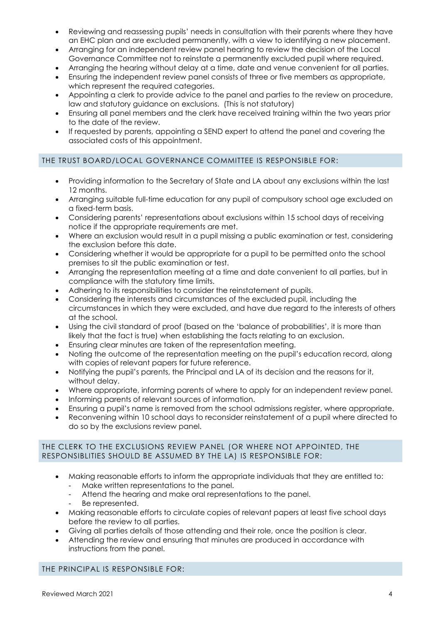- Reviewing and reassessing pupils' needs in consultation with their parents where they have an EHC plan and are excluded permanently, with a view to identifying a new placement.
- Arranging for an independent review panel hearing to review the decision of the Local Governance Committee not to reinstate a permanently excluded pupil where required.
- Arranging the hearing without delay at a time, date and venue convenient for all parties.
- Ensuring the independent review panel consists of three or five members as appropriate, which represent the required categories.
- Appointing a clerk to provide advice to the panel and parties to the review on procedure, law and statutory guidance on exclusions. (This is not statutory)
- Ensuring all panel members and the clerk have received training within the two years prior to the date of the review.
- If requested by parents, appointing a SEND expert to attend the panel and covering the associated costs of this appointment.

# THE TRUST BOARD/LOCAL GOVERNANCE COMMITTEE IS RESPONSIBLE FOR:

- Providing information to the Secretary of State and LA about any exclusions within the last 12 months.
- Arranging suitable full-time education for any pupil of compulsory school age excluded on a fixed-term basis.
- Considering parents' representations about exclusions within 15 school days of receiving notice if the appropriate requirements are met.
- Where an exclusion would result in a pupil missing a public examination or test, considering the exclusion before this date.
- Considering whether it would be appropriate for a pupil to be permitted onto the school premises to sit the public examination or test.
- Arranging the representation meeting at a time and date convenient to all parties, but in compliance with the statutory time limits.
- Adhering to its responsibilities to consider the reinstatement of pupils.
- Considering the interests and circumstances of the excluded pupil, including the circumstances in which they were excluded, and have due regard to the interests of others at the school.
- Using the civil standard of proof (based on the 'balance of probabilities', it is more than likely that the fact is true) when establishing the facts relating to an exclusion.
- Ensuring clear minutes are taken of the representation meeting.
- Noting the outcome of the representation meeting on the pupil's education record, along with copies of relevant papers for future reference.
- Notifying the pupil's parents, the Principal and LA of its decision and the reasons for it, without delay.
- Where appropriate, informing parents of where to apply for an independent review panel.
- Informing parents of relevant sources of information.
- Ensuring a pupil's name is removed from the school admissions register, where appropriate.
- Reconvening within 10 school days to reconsider reinstatement of a pupil where directed to do so by the exclusions review panel.

#### THE CLERK TO THE EXCLUSIONS REVIEW PANEL (OR WHERE NOT APPOINTED, THE RESPONSIBLITIES SHOULD BE ASSUMED BY THE LA) IS RESPONSIBLE FOR:

- Making reasonable efforts to inform the appropriate individuals that they are entitled to:
	- Make written representations to the panel.
	- Attend the hearing and make oral representations to the panel.
	- Be represented.
- Making reasonable efforts to circulate copies of relevant papers at least five school days before the review to all parties.
- Giving all parties details of those attending and their role, once the position is clear.
- Attending the review and ensuring that minutes are produced in accordance with instructions from the panel.

#### THE PRINCIPAL IS RESPONSIBLE FOR: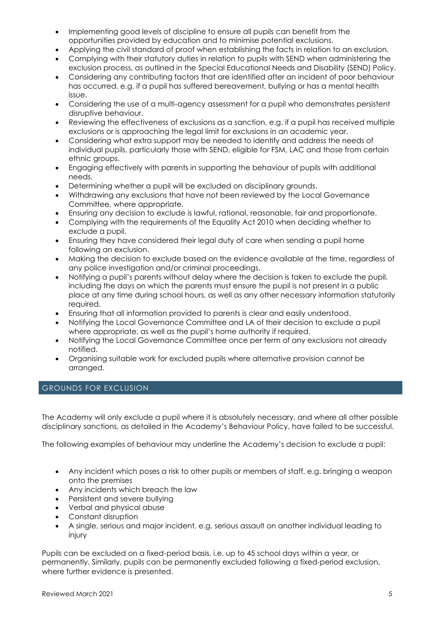- Implementing good levels of discipline to ensure all pupils can benefit from the opportunities provided by education and to minimise potential exclusions.
- Applying the civil standard of proof when establishing the facts in relation to an exclusion.
- Complying with their statutory duties in relation to pupils with SEND when administering the exclusion process, as outlined in the Special Educational Needs and Disability (SEND) Policy.
- Considering any contributing factors that are identified after an incident of poor behaviour has occurred, e.g. if a pupil has suffered bereavement, bullying or has a mental health issue.
- Considering the use of a multi-agency assessment for a pupil who demonstrates persistent disruptive behaviour.
- Reviewing the effectiveness of exclusions as a sanction, e.g. if a pupil has received multiple exclusions or is approaching the legal limit for exclusions in an academic year.
- Considering what extra support may be needed to identify and address the needs of individual pupils, particularly those with SEND, eligible for FSM, LAC and those from certain ethnic groups.
- Engaging effectively with parents in supporting the behaviour of pupils with additional needs.
- Determining whether a pupil will be excluded on disciplinary grounds.
- Withdrawing any exclusions that have not been reviewed by the Local Governance Committee, where appropriate.
- Ensuring any decision to exclude is lawful, rational, reasonable, fair and proportionate.
- Complying with the requirements of the Equality Act 2010 when deciding whether to exclude a pupil.
- Ensuring they have considered their legal duty of care when sending a pupil home following an exclusion.
- Making the decision to exclude based on the evidence available at the time, regardless of any police investigation and/or criminal proceedings.
- Notifying a pupil's parents without delay where the decision is taken to exclude the pupil, including the days on which the parents must ensure the pupil is not present in a public place at any time during school hours, as well as any other necessary information statutorily required.
- Ensuring that all information provided to parents is clear and easily understood.
- Notifying the Local Governance Committee and LA of their decision to exclude a pupil where appropriate, as well as the pupil's home authority if required.
- Notifying the Local Governance Committee once per term of any exclusions not already notified.
- Organising suitable work for excluded pupils where alternative provision cannot be arranged.

# GROUNDS FOR EXCLUSION

The Academy will only exclude a pupil where it is absolutely necessary, and where all other possible disciplinary sanctions, as detailed in the Academy's Behaviour Policy, have failed to be successful.

The following examples of behaviour may underline the Academy's decision to exclude a pupil:

- Any incident which poses a risk to other pupils or members of staff, e.g. bringing a weapon onto the premises
- Any incidents which breach the law
- Persistent and severe bullying
- Verbal and physical abuse
- Constant disruption
- A single, serious and major incident, e.g. serious assault on another individual leading to injury

Pupils can be excluded on a fixed-period basis, i.e. up to 45 school days within a year, or permanently. Similarly, pupils can be permanently excluded following a fixed-period exclusion, where further evidence is presented.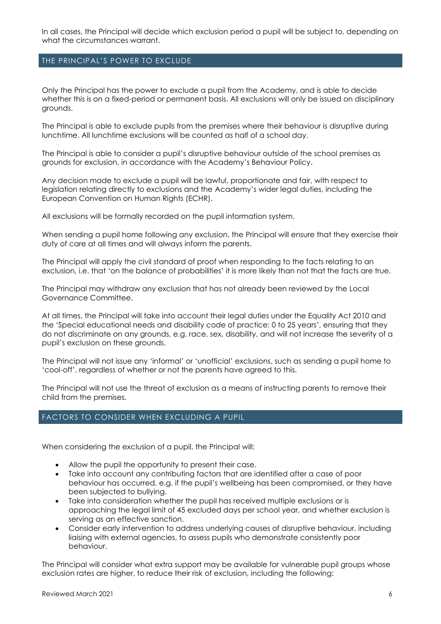In all cases, the Principal will decide which exclusion period a pupil will be subject to, depending on what the circumstances warrant.

#### THE PRINCIPAL'S POWER TO EXCLUDE

Only the Principal has the power to exclude a pupil from the Academy, and is able to decide whether this is on a fixed-period or permanent basis. All exclusions will only be issued on disciplinary grounds.

The Principal is able to exclude pupils from the premises where their behaviour is disruptive during lunchtime. All lunchtime exclusions will be counted as half of a school day.

The Principal is able to consider a pupil's disruptive behaviour outside of the school premises as grounds for exclusion, in accordance with the Academy's Behaviour Policy.

Any decision made to exclude a pupil will be lawful, proportionate and fair, with respect to legislation relating directly to exclusions and the Academy's wider legal duties, including the European Convention on Human Rights (ECHR).

All exclusions will be formally recorded on the pupil information system.

When sending a pupil home following any exclusion, the Principal will ensure that they exercise their duty of care at all times and will always inform the parents.

The Principal will apply the civil standard of proof when responding to the facts relating to an exclusion, i.e. that 'on the balance of probabilities' it is more likely than not that the facts are true.

The Principal may withdraw any exclusion that has not already been reviewed by the Local Governance Committee.

At all times, the Principal will take into account their legal duties under the Equality Act 2010 and the 'Special educational needs and disability code of practice: 0 to 25 years', ensuring that they do not discriminate on any grounds, e.g. race, sex, disability, and will not increase the severity of a pupil's exclusion on these grounds.

The Principal will not issue any 'informal' or 'unofficial' exclusions, such as sending a pupil home to 'cool-off', regardless of whether or not the parents have agreed to this.

The Principal will not use the threat of exclusion as a means of instructing parents to remove their child from the premises.

# FACTORS TO CONSIDER WHEN EXCLUDING A PUPIL

When considering the exclusion of a pupil, the Principal will:

- Allow the pupil the opportunity to present their case.
- Take into account any contributing factors that are identified after a case of poor behaviour has occurred, e.g. if the pupil's wellbeing has been compromised, or they have been subjected to bullying.
- Take into consideration whether the pupil has received multiple exclusions or is approaching the legal limit of 45 excluded days per school year, and whether exclusion is serving as an effective sanction.
- Consider early intervention to address underlying causes of disruptive behaviour, including liaising with external agencies, to assess pupils who demonstrate consistently poor behaviour.

The Principal will consider what extra support may be available for vulnerable pupil groups whose exclusion rates are higher, to reduce their risk of exclusion, including the following: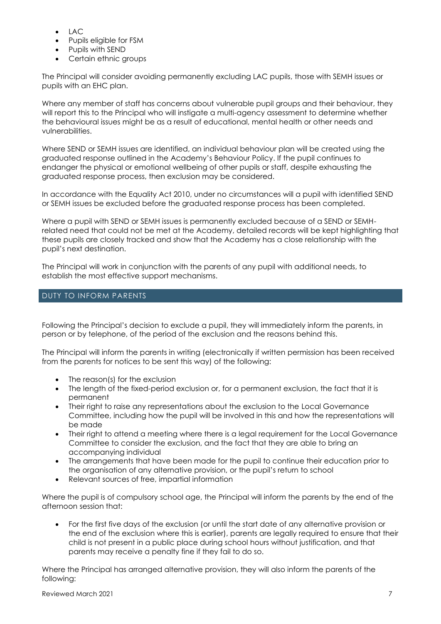- LAC
- Pupils eligible for FSM
- Pupils with SEND
- Certain ethnic groups

The Principal will consider avoiding permanently excluding LAC pupils, those with SEMH issues or pupils with an EHC plan.

Where any member of staff has concerns about vulnerable pupil groups and their behaviour, they will report this to the Principal who will instigate a multi-agency assessment to determine whether the behavioural issues might be as a result of educational, mental health or other needs and vulnerabilities.

Where SEND or SEMH issues are identified, an individual behaviour plan will be created using the graduated response outlined in the Academy's Behaviour Policy. If the pupil continues to endanger the physical or emotional wellbeing of other pupils or staff, despite exhausting the graduated response process, then exclusion may be considered.

In accordance with the Equality Act 2010, under no circumstances will a pupil with identified SEND or SEMH issues be excluded before the graduated response process has been completed.

Where a pupil with SEND or SEMH issues is permanently excluded because of a SEND or SEMHrelated need that could not be met at the Academy, detailed records will be kept highlighting that these pupils are closely tracked and show that the Academy has a close relationship with the pupil's next destination.

The Principal will work in conjunction with the parents of any pupil with additional needs, to establish the most effective support mechanisms.

# DUTY TO INFORM PARENTS

Following the Principal's decision to exclude a pupil, they will immediately inform the parents, in person or by telephone, of the period of the exclusion and the reasons behind this.

The Principal will inform the parents in writing (electronically if written permission has been received from the parents for notices to be sent this way) of the following:

- The reason(s) for the exclusion
- The length of the fixed-period exclusion or, for a permanent exclusion, the fact that it is permanent
- Their right to raise any representations about the exclusion to the Local Governance Committee, including how the pupil will be involved in this and how the representations will be made
- Their right to attend a meeting where there is a legal requirement for the Local Governance Committee to consider the exclusion, and the fact that they are able to bring an accompanying individual
- The arrangements that have been made for the pupil to continue their education prior to the organisation of any alternative provision, or the pupil's return to school
- Relevant sources of free, impartial information

Where the pupil is of compulsory school age, the Principal will inform the parents by the end of the afternoon session that:

• For the first five days of the exclusion (or until the start date of any alternative provision or the end of the exclusion where this is earlier), parents are legally required to ensure that their child is not present in a public place during school hours without justification, and that parents may receive a penalty fine if they fail to do so.

Where the Principal has arranged alternative provision, they will also inform the parents of the following: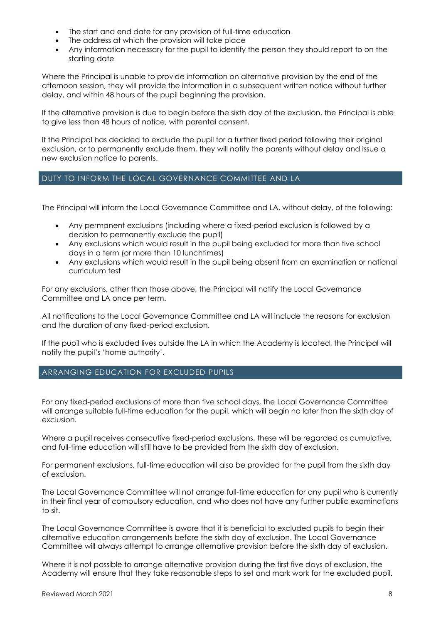- The start and end date for any provision of full-time education
- The address at which the provision will take place
- Any information necessary for the pupil to identify the person they should report to on the starting date

Where the Principal is unable to provide information on alternative provision by the end of the afternoon session, they will provide the information in a subsequent written notice without further delay, and within 48 hours of the pupil beginning the provision.

If the alternative provision is due to begin before the sixth day of the exclusion, the Principal is able to give less than 48 hours of notice, with parental consent.

If the Principal has decided to exclude the pupil for a further fixed period following their original exclusion, or to permanently exclude them, they will notify the parents without delay and issue a new exclusion notice to parents.

# DUTY TO INFORM THE LOCAL GOVERNANCE COMMITTEE AND LA

The Principal will inform the Local Governance Committee and LA, without delay, of the following:

- Any permanent exclusions (including where a fixed-period exclusion is followed by a decision to permanently exclude the pupil)
- Any exclusions which would result in the pupil being excluded for more than five school days in a term (or more than 10 lunchtimes)
- Any exclusions which would result in the pupil being absent from an examination or national curriculum test

For any exclusions, other than those above, the Principal will notify the Local Governance Committee and LA once per term.

All notifications to the Local Governance Committee and LA will include the reasons for exclusion and the duration of any fixed-period exclusion.

If the pupil who is excluded lives outside the LA in which the Academy is located, the Principal will notify the pupil's 'home authority'.

# ARRANGING EDUCATION FOR EXCLUDED PUPILS

For any fixed-period exclusions of more than five school days, the Local Governance Committee will arrange suitable full-time education for the pupil, which will begin no later than the sixth day of exclusion.

Where a pupil receives consecutive fixed-period exclusions, these will be regarded as cumulative, and full-time education will still have to be provided from the sixth day of exclusion.

For permanent exclusions, full-time education will also be provided for the pupil from the sixth day of exclusion.

The Local Governance Committee will not arrange full-time education for any pupil who is currently in their final year of compulsory education, and who does not have any further public examinations to sit.

The Local Governance Committee is aware that it is beneficial to excluded pupils to begin their alternative education arrangements before the sixth day of exclusion. The Local Governance Committee will always attempt to arrange alternative provision before the sixth day of exclusion.

Where it is not possible to arrange alternative provision during the first five days of exclusion, the Academy will ensure that they take reasonable steps to set and mark work for the excluded pupil.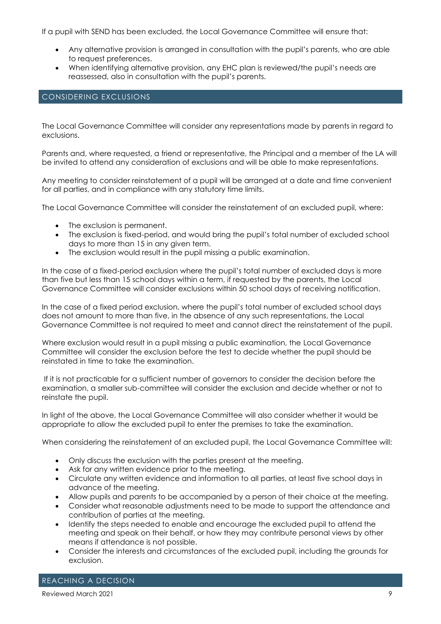If a pupil with SEND has been excluded, the Local Governance Committee will ensure that:

- Any alternative provision is arranged in consultation with the pupil's parents, who are able to request preferences.
- When identifying alternative provision, any EHC plan is reviewed/the pupil's needs are reassessed, also in consultation with the pupil's parents.

# CONSIDERING EXCLUSIONS

The Local Governance Committee will consider any representations made by parents in regard to exclusions.

Parents and, where requested, a friend or representative, the Principal and a member of the LA will be invited to attend any consideration of exclusions and will be able to make representations.

Any meeting to consider reinstatement of a pupil will be arranged at a date and time convenient for all parties, and in compliance with any statutory time limits.

The Local Governance Committee will consider the reinstatement of an excluded pupil, where:

- The exclusion is permanent.
- The exclusion is fixed-period, and would bring the pupil's total number of excluded school days to more than 15 in any given term.
- The exclusion would result in the pupil missing a public examination.

In the case of a fixed-period exclusion where the pupil's total number of excluded days is more than five but less than 15 school days within a term, if requested by the parents, the Local Governance Committee will consider exclusions within 50 school days of receiving notification.

In the case of a fixed period exclusion, where the pupil's total number of excluded school days does not amount to more than five, in the absence of any such representations, the Local Governance Committee is not required to meet and cannot direct the reinstatement of the pupil.

Where exclusion would result in a pupil missing a public examination, the Local Governance Committee will consider the exclusion before the test to decide whether the pupil should be reinstated in time to take the examination.

If it is not practicable for a sufficient number of governors to consider the decision before the examination, a smaller sub-committee will consider the exclusion and decide whether or not to reinstate the pupil.

In light of the above, the Local Governance Committee will also consider whether it would be appropriate to allow the excluded pupil to enter the premises to take the examination.

When considering the reinstatement of an excluded pupil, the Local Governance Committee will:

- Only discuss the exclusion with the parties present at the meeting.
- Ask for any written evidence prior to the meeting.
- Circulate any written evidence and information to all parties, at least five school days in advance of the meeting.
- Allow pupils and parents to be accompanied by a person of their choice at the meeting.
- Consider what reasonable adjustments need to be made to support the attendance and contribution of parties at the meeting.
- Identify the steps needed to enable and encourage the excluded pupil to attend the meeting and speak on their behalf, or how they may contribute personal views by other means if attendance is not possible.
- Consider the interests and circumstances of the excluded pupil, including the grounds for exclusion.

REACHING A DECISION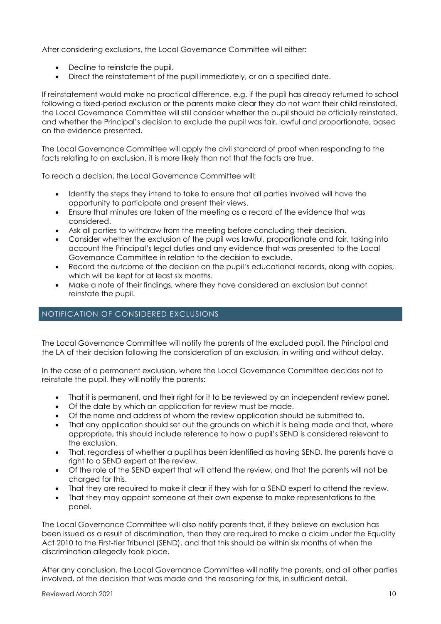After considering exclusions, the Local Governance Committee will either:

- Decline to reinstate the pupil.
- Direct the reinstatement of the pupil immediately, or on a specified date.

If reinstatement would make no practical difference, e.g. if the pupil has already returned to school following a fixed-period exclusion or the parents make clear they do not want their child reinstated, the Local Governance Committee will still consider whether the pupil should be officially reinstated, and whether the Principal's decision to exclude the pupil was fair, lawful and proportionate, based on the evidence presented.

The Local Governance Committee will apply the civil standard of proof when responding to the facts relating to an exclusion, it is more likely than not that the facts are true.

To reach a decision, the Local Governance Committee will:

- Identify the steps they intend to take to ensure that all parties involved will have the opportunity to participate and present their views.
- Ensure that minutes are taken of the meeting as a record of the evidence that was considered.
- Ask all parties to withdraw from the meeting before concluding their decision.
- Consider whether the exclusion of the pupil was lawful, proportionate and fair, taking into account the Principal's legal duties and any evidence that was presented to the Local Governance Committee in relation to the decision to exclude.
- Record the outcome of the decision on the pupil's educational records, along with copies, which will be kept for at least six months.
- Make a note of their findings, where they have considered an exclusion but cannot reinstate the pupil.

#### NOTIFICATION OF CONSIDERED EXCLUSIONS

The Local Governance Committee will notify the parents of the excluded pupil, the Principal and the LA of their decision following the consideration of an exclusion, in writing and without delay.

In the case of a permanent exclusion, where the Local Governance Committee decides not to reinstate the pupil, they will notify the parents:

- That it is permanent, and their right for it to be reviewed by an independent review panel.
- Of the date by which an application for review must be made.
- Of the name and address of whom the review application should be submitted to.
- That any application should set out the grounds on which it is being made and that, where appropriate, this should include reference to how a pupil's SEND is considered relevant to the exclusion.
- That, regardless of whether a pupil has been identified as having SEND, the parents have a right to a SEND expert at the review.
- Of the role of the SEND expert that will attend the review, and that the parents will not be charged for this.
- That they are required to make it clear if they wish for a SEND expert to attend the review.
- That they may appoint someone at their own expense to make representations to the panel.

The Local Governance Committee will also notify parents that, if they believe an exclusion has been issued as a result of discrimination, then they are required to make a claim under the Equality Act 2010 to the First-tier Tribunal (SEND), and that this should be within six months of when the discrimination allegedly took place.

After any conclusion, the Local Governance Committee will notify the parents, and all other parties involved, of the decision that was made and the reasoning for this, in sufficient detail.

#### Reviewed March 2021 2021 2022 12:00 12:00 12:00 12:00 12:00 12:00 12:00 12:00 12:00 12:00 12:00 12:00 12:00 12:00 12:00 12:00 12:00 12:00 12:00 12:00 12:00 12:00 12:00 12:00 12:00 12:00 12:00 12:00 12:00 12:00 12:00 12:00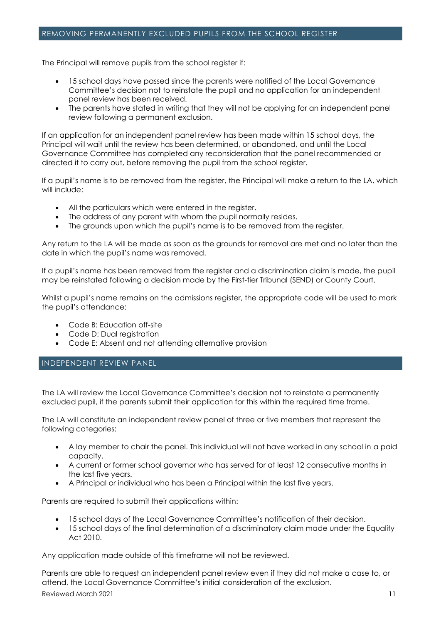# REMOVING PERMANENTLY EXCLUDED PUPILS FROM THE SCHOOL REGISTER

The Principal will remove pupils from the school register if:

- 15 school days have passed since the parents were notified of the Local Governance Committee's decision not to reinstate the pupil and no application for an independent panel review has been received.
- The parents have stated in writing that they will not be applying for an independent panel review following a permanent exclusion.

If an application for an independent panel review has been made within 15 school days, the Principal will wait until the review has been determined, or abandoned, and until the Local Governance Committee has completed any reconsideration that the panel recommended or directed it to carry out, before removing the pupil from the school register.

If a pupil's name is to be removed from the register, the Principal will make a return to the LA, which will include:

- All the particulars which were entered in the register.
- The address of any parent with whom the pupil normally resides.
- The grounds upon which the pupil's name is to be removed from the register.

Any return to the LA will be made as soon as the grounds for removal are met and no later than the date in which the pupil's name was removed.

If a pupil's name has been removed from the register and a discrimination claim is made, the pupil may be reinstated following a decision made by the First-tier Tribunal (SEND) or County Court.

Whilst a pupil's name remains on the admissions register, the appropriate code will be used to mark the pupil's attendance:

- Code B: Education off-site
- Code D: Dual registration
- Code E: Absent and not attending alternative provision

# INDEPENDENT REVIEW PANEL

The LA will review the Local Governance Committee's decision not to reinstate a permanently excluded pupil, if the parents submit their application for this within the required time frame.

The LA will constitute an independent review panel of three or five members that represent the following categories:

- A lay member to chair the panel. This individual will not have worked in any school in a paid capacity.
- A current or former school governor who has served for at least 12 consecutive months in the last five years.
- A Principal or individual who has been a Principal within the last five years.

Parents are required to submit their applications within:

- 15 school days of the Local Governance Committee's notification of their decision.
- 15 school days of the final determination of a discriminatory claim made under the Equality Act 2010.

Any application made outside of this timeframe will not be reviewed.

Reviewed March 2021 2021 2021 2022 12:00:00 11:00:00 11:00:00 11:00:00 11:00:00 11:00:00 11:00:00 11:00:00 11:00:00 11:00:00 11:00:00 11:00:00 11:00:00 11:00:00 11:00:00 11:00:00 11:00:00 11:00:00 11:00:00 11:00:00 11:00:0 Parents are able to request an independent panel review even if they did not make a case to, or attend, the Local Governance Committee's initial consideration of the exclusion.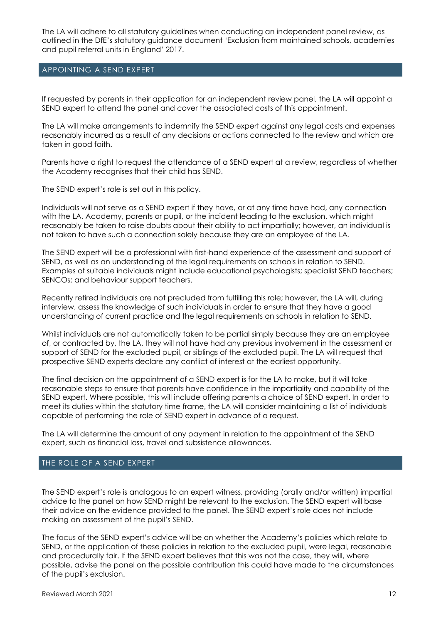The LA will adhere to all statutory guidelines when conducting an independent panel review, as outlined in the DfE's statutory guidance document 'Exclusion from maintained schools, academies and pupil referral units in England' 2017.

# APPOINTING A SEND EXPERT

If requested by parents in their application for an independent review panel, the LA will appoint a SEND expert to attend the panel and cover the associated costs of this appointment.

The LA will make arrangements to indemnify the SEND expert against any legal costs and expenses reasonably incurred as a result of any decisions or actions connected to the review and which are taken in good faith.

Parents have a right to request the attendance of a SEND expert at a review, regardless of whether the Academy recognises that their child has SEND.

The SEND expert's role is set out in this policy.

Individuals will not serve as a SEND expert if they have, or at any time have had, any connection with the LA, Academy, parents or pupil, or the incident leading to the exclusion, which might reasonably be taken to raise doubts about their ability to act impartially; however, an individual is not taken to have such a connection solely because they are an employee of the LA.

The SEND expert will be a professional with first-hand experience of the assessment and support of SEND, as well as an understanding of the legal requirements on schools in relation to SEND. Examples of suitable individuals might include educational psychologists; specialist SEND teachers; SENCOs; and behaviour support teachers.

Recently retired individuals are not precluded from fulfilling this role; however, the LA will, during interview, assess the knowledge of such individuals in order to ensure that they have a good understanding of current practice and the legal requirements on schools in relation to SEND.

Whilst individuals are not automatically taken to be partial simply because they are an employee of, or contracted by, the LA, they will not have had any previous involvement in the assessment or support of SEND for the excluded pupil, or siblings of the excluded pupil. The LA will request that prospective SEND experts declare any conflict of interest at the earliest opportunity.

The final decision on the appointment of a SEND expert is for the LA to make, but it will take reasonable steps to ensure that parents have confidence in the impartiality and capability of the SEND expert. Where possible, this will include offering parents a choice of SEND expert. In order to meet its duties within the statutory time frame, the LA will consider maintaining a list of individuals capable of performing the role of SEND expert in advance of a request.

The LA will determine the amount of any payment in relation to the appointment of the SEND expert, such as financial loss, travel and subsistence allowances.

# THE ROLE OF A SEND EXPERT

The SEND expert's role is analogous to an expert witness, providing (orally and/or written) impartial advice to the panel on how SEND might be relevant to the exclusion. The SEND expert will base their advice on the evidence provided to the panel. The SEND expert's role does not include making an assessment of the pupil's SEND.

The focus of the SEND expert's advice will be on whether the Academy's policies which relate to SEND, or the application of these policies in relation to the excluded pupil, were legal, reasonable and procedurally fair. If the SEND expert believes that this was not the case, they will, where possible, advise the panel on the possible contribution this could have made to the circumstances of the pupil's exclusion.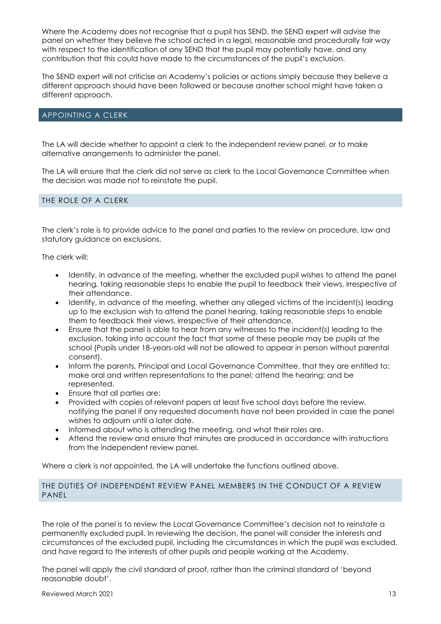Where the Academy does not recognise that a pupil has SEND, the SEND expert will advise the panel on whether they believe the school acted in a legal, reasonable and procedurally fair way with respect to the identification of any SEND that the pupil may potentially have, and any contribution that this could have made to the circumstances of the pupil's exclusion.

The SEND expert will not criticise an Academy's policies or actions simply because they believe a different approach should have been followed or because another school might have taken a different approach.

#### APPOINTING A CLERK

The LA will decide whether to appoint a clerk to the independent review panel, or to make alternative arrangements to administer the panel.

The LA will ensure that the clerk did not serve as clerk to the Local Governance Committee when the decision was made not to reinstate the pupil.

#### THE ROLE OF A CLERK

The clerk's role is to provide advice to the panel and parties to the review on procedure, law and statutory guidance on exclusions.

The clerk will:

- Identify, in advance of the meeting, whether the excluded pupil wishes to attend the panel hearing, taking reasonable steps to enable the pupil to feedback their views, irrespective of their attendance.
- Identify, in advance of the meeting, whether any alleged victims of the incident(s) leading up to the exclusion wish to attend the panel hearing, taking reasonable steps to enable them to feedback their views, irrespective of their attendance.
- Ensure that the panel is able to hear from any witnesses to the incident(s) leading to the exclusion, taking into account the fact that some of these people may be pupils at the school (Pupils under 18-years-old will not be allowed to appear in person without parental consent).
- Inform the parents, Principal and Local Governance Committee, that they are entitled to: make oral and written representations to the panel; attend the hearing; and be represented.
- Ensure that all parties are:
- Provided with copies of relevant papers at least five school days before the review, notifying the panel if any requested documents have not been provided in case the panel wishes to adjourn until a later date.
- Informed about who is attending the meeting, and what their roles are.
- Attend the review and ensure that minutes are produced in accordance with instructions from the independent review panel.

Where a clerk is not appointed, the LA will undertake the functions outlined above.

#### THE DUTIES OF INDEPENDENT REVIEW PANEL MEMBERS IN THE CONDUCT OF A REVIEW PANEL

The role of the panel is to review the Local Governance Committee's decision not to reinstate a permanently excluded pupil. In reviewing the decision, the panel will consider the interests and circumstances of the excluded pupil, including the circumstances in which the pupil was excluded, and have regard to the interests of other pupils and people working at the Academy.

The panel will apply the civil standard of proof, rather than the criminal standard of 'beyond reasonable doubt'.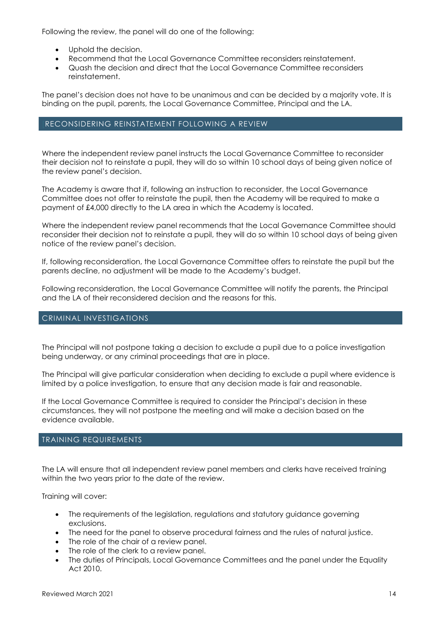Following the review, the panel will do one of the following:

- Uphold the decision.
- Recommend that the Local Governance Committee reconsiders reinstatement.
- Quash the decision and direct that the Local Governance Committee reconsiders reinstatement.

The panel's decision does not have to be unanimous and can be decided by a majority vote. It is binding on the pupil, parents, the Local Governance Committee, Principal and the LA.

#### RECONSIDERING REINSTATEMENT FOLLOWING A REVIEW

Where the independent review panel instructs the Local Governance Committee to reconsider their decision not to reinstate a pupil, they will do so within 10 school days of being given notice of the review panel's decision.

The Academy is aware that if, following an instruction to reconsider, the Local Governance Committee does not offer to reinstate the pupil, then the Academy will be required to make a payment of £4,000 directly to the LA area in which the Academy is located.

Where the independent review panel recommends that the Local Governance Committee should reconsider their decision not to reinstate a pupil, they will do so within 10 school days of being given notice of the review panel's decision.

If, following reconsideration, the Local Governance Committee offers to reinstate the pupil but the parents decline, no adjustment will be made to the Academy's budget.

Following reconsideration, the Local Governance Committee will notify the parents, the Principal and the LA of their reconsidered decision and the reasons for this.

#### CRIMINAL INVESTIGATIONS

The Principal will not postpone taking a decision to exclude a pupil due to a police investigation being underway, or any criminal proceedings that are in place.

The Principal will give particular consideration when deciding to exclude a pupil where evidence is limited by a police investigation, to ensure that any decision made is fair and reasonable.

If the Local Governance Committee is required to consider the Principal's decision in these circumstances, they will not postpone the meeting and will make a decision based on the evidence available.

#### TRAINING REQUIREMENTS

The LA will ensure that all independent review panel members and clerks have received training within the two years prior to the date of the review.

Training will cover:

- The requirements of the legislation, regulations and statutory guidance governing exclusions.
- The need for the panel to observe procedural fairness and the rules of natural justice.
- The role of the chair of a review panel.
- The role of the clerk to a review panel.
- The duties of Principals, Local Governance Committees and the panel under the Equality Act 2010.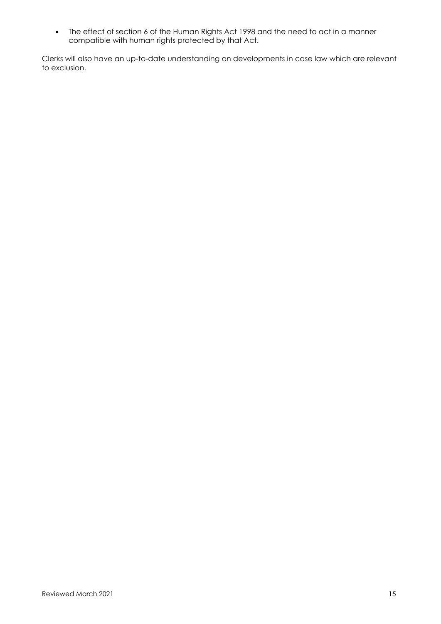• The effect of section 6 of the Human Rights Act 1998 and the need to act in a manner compatible with human rights protected by that Act.

Clerks will also have an up-to-date understanding on developments in case law which are relevant to exclusion.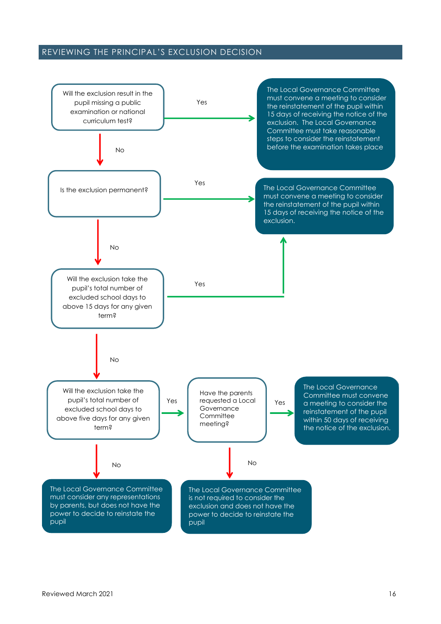# REVIEWING THE PRINCIPAL'S EXCLUSION DECISION

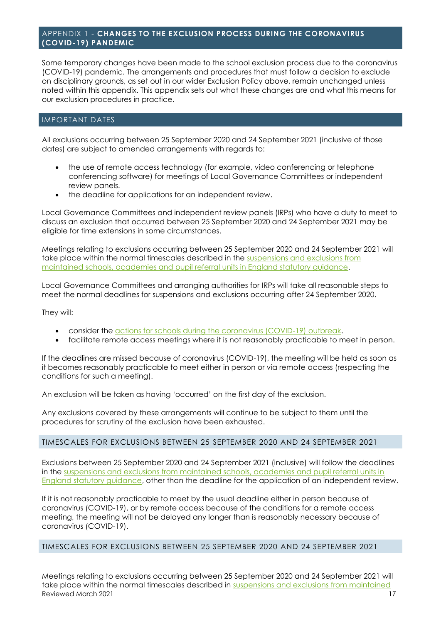# <span id="page-16-0"></span>APPENDIX 1 - **CHANGES TO THE EXCLUSION PROCESS DURING THE CORONAVIRUS (COVID-19) PANDEMIC**

Some temporary changes have been made to the school exclusion process due to the coronavirus (COVID-19) pandemic. The arrangements and procedures that must follow a decision to exclude on disciplinary grounds, as set out in our wider Exclusion Policy above, remain unchanged unless noted within this appendix. This appendix sets out what these changes are and what this means for our exclusion procedures in practice.

# IMPORTANT DATES

All exclusions occurring between 25 September 2020 and 24 September 2021 (inclusive of those dates) are subject to amended arrangements with regards to:

- the use of remote access technology (for example, video conferencing or telephone conferencing software) for meetings of Local Governance Committees or independent review panels.
- the deadline for applications for an independent review.

Local Governance Committees and independent review panels (IRPs) who have a duty to meet to discuss an exclusion that occurred between 25 September 2020 and 24 September 2021 may be eligible for time extensions in some circumstances.

Meetings relating to exclusions occurring between 25 September 2020 and 24 September 2021 will take place within the normal timescales described in the [suspensions and exclusions from](https://www.gov.uk/government/publications/school-exclusion)  [maintained schools, academies and pupil referral units in England statutory guidance.](https://www.gov.uk/government/publications/school-exclusion)

Local Governance Committees and arranging authorities for IRPs will take all reasonable steps to meet the normal deadlines for suspensions and exclusions occurring after 24 September 2020.

They will:

- consider the [actions for schools during the coronavirus \(COVID-19\) outbreak.](https://www.gov.uk/government/publications/actions-for-schools-during-the-coronavirus-outbreak)
- facilitate remote access meetings where it is not reasonably practicable to meet in person.

If the deadlines are missed because of coronavirus (COVID-19), the meeting will be held as soon as it becomes reasonably practicable to meet either in person or via remote access (respecting the conditions for such a meeting).

An exclusion will be taken as having 'occurred' on the first day of the exclusion.

Any exclusions covered by these arrangements will continue to be subject to them until the procedures for scrutiny of the exclusion have been exhausted.

#### TIMESCALES FOR EXCLUSIONS BETWEEN 25 SEPTEMBER 2020 AND 24 SEPTEMBER 2021

Exclusions between 25 September 2020 and 24 September 2021 (inclusive) will follow the deadlines in the suspensions and exclusions from maintained schools, academies and pupil referral units in [England statutory guidance,](https://www.gov.uk/government/publications/school-exclusion) other than the deadline for the application of an independent review.

If it is not reasonably practicable to meet by the usual deadline either in person because of coronavirus (COVID-19), or by remote access because of the conditions for a remote access meeting, the meeting will not be delayed any longer than is reasonably necessary because of coronavirus (COVID-19).

#### TIMESCALES FOR EXCLUSIONS BETWEEN 25 SEPTEMBER 2020 AND 24 SEPTEMBER 2021

Reviewed March 2021 2008 17 November 2021 2008 17 November 2021 2009 17 November 2021 2009 17 November 2021 20 Meetings relating to exclusions occurring between 25 September 2020 and 24 September 2021 will take place within the normal timescales described in suspensions and exclusions from maintained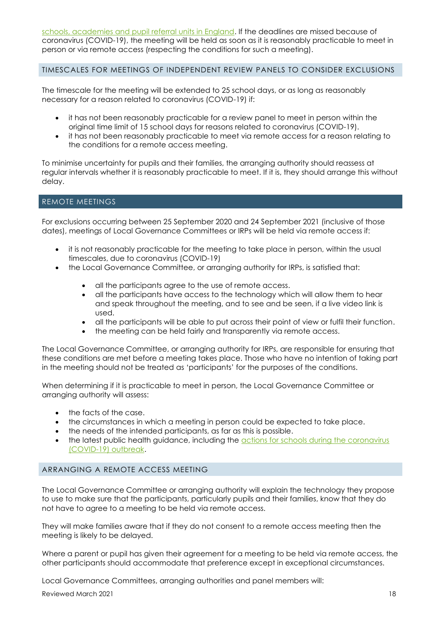[schools, academies and pupil referral units in England.](https://www.gov.uk/government/publications/school-exclusion) If the deadlines are missed because of coronavirus (COVID-19), the meeting will be held as soon as it is reasonably practicable to meet in person or via remote access (respecting the conditions for such a meeting).

# TIMESCALES FOR MEETINGS OF INDEPENDENT REVIEW PANELS TO CONSIDER EXCLUSIONS

The timescale for the meeting will be extended to 25 school days, or as long as reasonably necessary for a reason related to coronavirus (COVID-19) if:

- it has not been reasonably practicable for a review panel to meet in person within the original time limit of 15 school days for reasons related to coronavirus (COVID-19).
- it has not been reasonably practicable to meet via remote access for a reason relating to the conditions for a remote access meeting.

To minimise uncertainty for pupils and their families, the arranging authority should reassess at regular intervals whether it is reasonably practicable to meet. If it is, they should arrange this without delay.

# REMOTE MEETINGS

For exclusions occurring between 25 September 2020 and 24 September 2021 (inclusive of those dates), meetings of Local Governance Committees or IRPs will be held via remote access if:

- it is not reasonably practicable for the meeting to take place in person, within the usual timescales, due to coronavirus (COVID-19)
- the Local Governance Committee, or arranging authority for IRPs, is satisfied that:
	- all the participants agree to the use of remote access.
	- all the participants have access to the technology which will allow them to hear and speak throughout the meeting, and to see and be seen, if a live video link is used.
	- all the participants will be able to put across their point of view or fulfil their function.
	- the meeting can be held fairly and transparently via remote access.

The Local Governance Committee, or arranging authority for IRPs, are responsible for ensuring that these conditions are met before a meeting takes place. Those who have no intention of taking part in the meeting should not be treated as 'participants' for the purposes of the conditions.

When determining if it is practicable to meet in person, the Local Governance Committee or arranging authority will assess:

- the facts of the case.
- the circumstances in which a meeting in person could be expected to take place.
- the needs of the intended participants, as far as this is possible.
- the latest public health guidance, including the actions for schools during the coronavirus [\(COVID-19\) outbreak.](https://www.gov.uk/government/publications/actions-for-schools-during-the-coronavirus-outbreak)

# ARRANGING A REMOTE ACCESS MEETING

The Local Governance Committee or arranging authority will explain the technology they propose to use to make sure that the participants, particularly pupils and their families, know that they do not have to agree to a meeting to be held via remote access.

They will make families aware that if they do not consent to a remote access meeting then the meeting is likely to be delayed.

Where a parent or pupil has given their agreement for a meeting to be held via remote access, the other participants should accommodate that preference except in exceptional circumstances.

Local Governance Committees, arranging authorities and panel members will:

Reviewed March 2021 18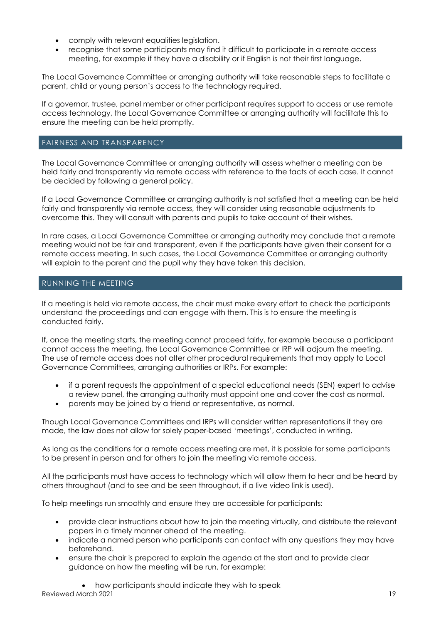- comply with relevant equalities legislation.
- recognise that some participants may find it difficult to participate in a remote access meeting, for example if they have a disability or if English is not their first language.

The Local Governance Committee or arranging authority will take reasonable steps to facilitate a parent, child or young person's access to the technology required.

If a governor, trustee, panel member or other participant requires support to access or use remote access technology, the Local Governance Committee or arranging authority will facilitate this to ensure the meeting can be held promptly.

# FAIRNESS AND TRANSPARENCY

The Local Governance Committee or arranging authority will assess whether a meeting can be held fairly and transparently via remote access with reference to the facts of each case. It cannot be decided by following a general policy.

If a Local Governance Committee or arranging authority is not satisfied that a meeting can be held fairly and transparently via remote access, they will consider using reasonable adjustments to overcome this. They will consult with parents and pupils to take account of their wishes.

In rare cases, a Local Governance Committee or arranging authority may conclude that a remote meeting would not be fair and transparent, even if the participants have given their consent for a remote access meeting. In such cases, the Local Governance Committee or arranging authority will explain to the parent and the pupil why they have taken this decision.

# RUNNING THE MEETING

If a meeting is held via remote access, the chair must make every effort to check the participants understand the proceedings and can engage with them. This is to ensure the meeting is conducted fairly.

If, once the meeting starts, the meeting cannot proceed fairly, for example because a participant cannot access the meeting, the Local Governance Committee or IRP will adjourn the meeting. The use of remote access does not alter other procedural requirements that may apply to Local Governance Committees, arranging authorities or IRPs. For example:

- if a parent requests the appointment of a special educational needs (SEN) expert to advise a review panel, the arranging authority must appoint one and cover the cost as normal.
- parents may be joined by a friend or representative, as normal.

Though Local Governance Committees and IRPs will consider written representations if they are made, the law does not allow for solely paper-based 'meetings', conducted in writing.

As long as the conditions for a remote access meeting are met, it is possible for some participants to be present in person and for others to join the meeting via remote access.

All the participants must have access to technology which will allow them to hear and be heard by others throughout (and to see and be seen throughout, if a live video link is used).

To help meetings run smoothly and ensure they are accessible for participants:

- provide clear instructions about how to join the meeting virtually, and distribute the relevant papers in a timely manner ahead of the meeting.
- indicate a named person who participants can contact with any questions they may have beforehand.
- ensure the chair is prepared to explain the agenda at the start and to provide clear guidance on how the meeting will be run, for example:

Reviewed March 2021 2021 2022 19:00 19:00 19:00 19:00 19:00 19:00 19:00 19:00 19:00 19:00 19:00 19:00 19:00 19:00 19:00 19:00 19:00 19:00 19:00 19:00 19:00 19:00 19:00 19:00 19:00 19:00 19:00 19:00 19:00 19:00 19:00 19:00 • how participants should indicate they wish to speak